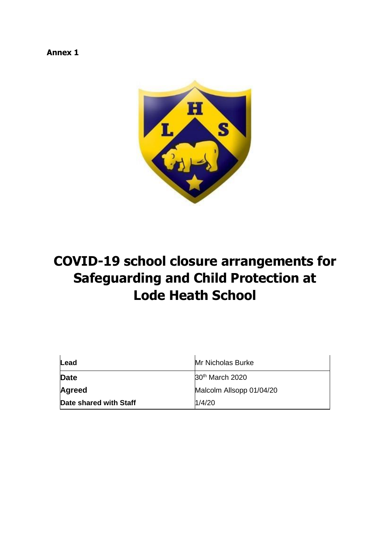**Annex 1** 



# **COVID-19 school closure arrangements for Safeguarding and Child Protection at Lode Heath School**

| Lead                   | <b>Mr Nicholas Burke</b>    |  |
|------------------------|-----------------------------|--|
| <b>Date</b>            | 30 <sup>th</sup> March 2020 |  |
| <b>Agreed</b>          | Malcolm Allsopp 01/04/20    |  |
| Date shared with Staff | 1/4/20                      |  |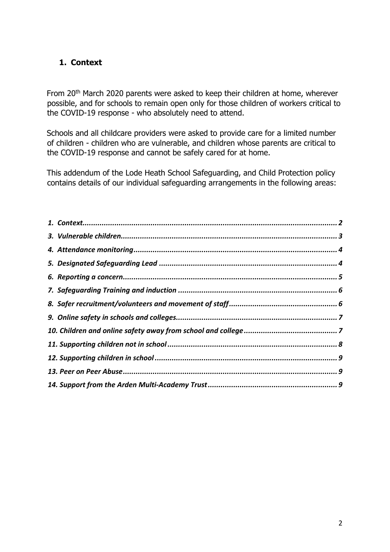# <span id="page-1-0"></span>**1. Context**

From 20<sup>th</sup> March 2020 parents were asked to keep their children at home, wherever possible, and for schools to remain open only for those children of workers critical to the COVID-19 response - who absolutely need to attend.

Schools and all childcare providers were asked to provide care for a limited number of children - children who are vulnerable, and children whose parents are critical to the COVID-19 response and cannot be safely cared for at home.

This addendum of the Lode Heath School Safeguarding, and Child Protection policy contains details of our individual safeguarding arrangements in the following areas: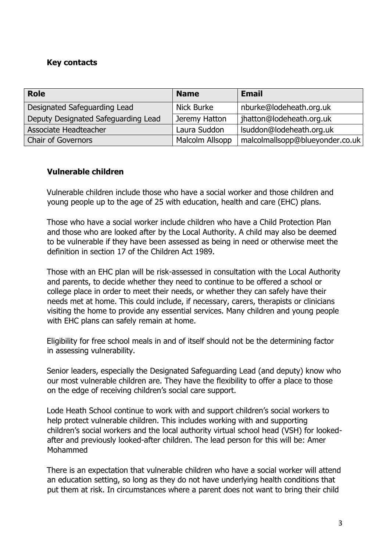## **Key contacts**

| <b>Role</b>                         | <b>Name</b>     | <b>Email</b>                    |
|-------------------------------------|-----------------|---------------------------------|
| Designated Safeguarding Lead        | Nick Burke      | nburke@lodeheath.org.uk         |
| Deputy Designated Safeguarding Lead | Jeremy Hatton   | jhatton@lodeheath.org.uk        |
| Associate Headteacher               | Laura Suddon    | Isuddon@lodeheath.org.uk        |
| <b>Chair of Governors</b>           | Malcolm Allsopp | malcolmallsopp@blueyonder.co.uk |

## <span id="page-2-0"></span>**Vulnerable children**

Vulnerable children include those who have a social worker and those children and young people up to the age of 25 with education, health and care (EHC) plans.

Those who have a social worker include children who have a Child Protection Plan and those who are looked after by the Local Authority. A child may also be deemed to be vulnerable if they have been assessed as being in need or otherwise meet the definition in section 17 of the Children Act 1989.

Those with an EHC plan will be risk-assessed in consultation with the Local Authority and parents, to decide whether they need to continue to be offered a school or college place in order to meet their needs, or whether they can safely have their needs met at home. This could include, if necessary, carers, therapists or clinicians visiting the home to provide any essential services. Many children and young people with EHC plans can safely remain at home.

Eligibility for free school meals in and of itself should not be the determining factor in assessing vulnerability.

Senior leaders, especially the Designated Safeguarding Lead (and deputy) know who our most vulnerable children are. They have the flexibility to offer a place to those on the edge of receiving children's social care support.

Lode Heath School continue to work with and support children's social workers to help protect vulnerable children. This includes working with and supporting children's social workers and the local authority virtual school head (VSH) for lookedafter and previously looked-after children. The lead person for this will be: Amer Mohammed

There is an expectation that vulnerable children who have a social worker will attend an education setting, so long as they do not have underlying health conditions that put them at risk. In circumstances where a parent does not want to bring their child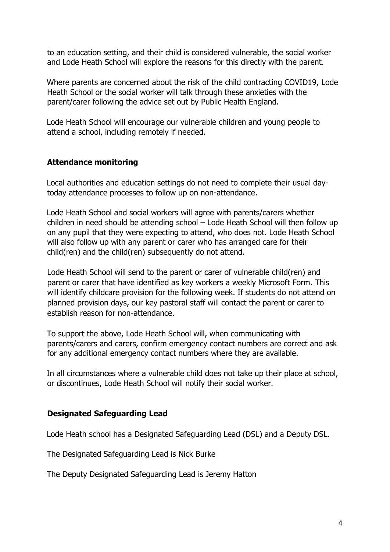to an education setting, and their child is considered vulnerable, the social worker and Lode Heath School will explore the reasons for this directly with the parent.

Where parents are concerned about the risk of the child contracting COVID19, Lode Heath School or the social worker will talk through these anxieties with the parent/carer following the advice set out by Public Health England.

Lode Heath School will encourage our vulnerable children and young people to attend a school, including remotely if needed.

## <span id="page-3-0"></span>**Attendance monitoring**

Local authorities and education settings do not need to complete their usual daytoday attendance processes to follow up on non-attendance.

Lode Heath School and social workers will agree with parents/carers whether children in need should be attending school – Lode Heath School will then follow up on any pupil that they were expecting to attend, who does not. Lode Heath School will also follow up with any parent or carer who has arranged care for their child(ren) and the child(ren) subsequently do not attend.

Lode Heath School will send to the parent or carer of vulnerable child(ren) and parent or carer that have identified as key workers a weekly Microsoft Form. This will identify childcare provision for the following week. If students do not attend on planned provision days, our key pastoral staff will contact the parent or carer to establish reason for non-attendance.

To support the above, Lode Heath School will, when communicating with parents/carers and carers, confirm emergency contact numbers are correct and ask for any additional emergency contact numbers where they are available.

In all circumstances where a vulnerable child does not take up their place at school, or discontinues, Lode Heath School will notify their social worker.

#### <span id="page-3-1"></span>**Designated Safeguarding Lead**

Lode Heath school has a Designated Safeguarding Lead (DSL) and a Deputy DSL.

The Designated Safeguarding Lead is Nick Burke

The Deputy Designated Safeguarding Lead is Jeremy Hatton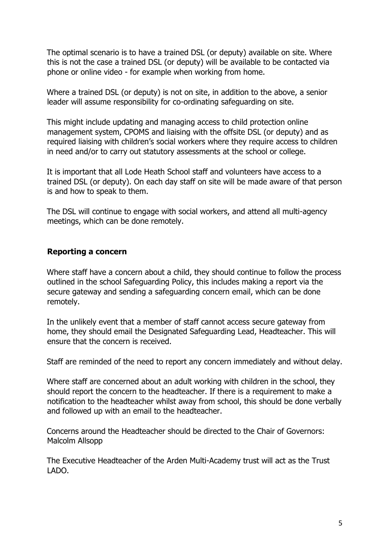The optimal scenario is to have a trained DSL (or deputy) available on site. Where this is not the case a trained DSL (or deputy) will be available to be contacted via phone or online video - for example when working from home.

Where a trained DSL (or deputy) is not on site, in addition to the above, a senior leader will assume responsibility for co-ordinating safeguarding on site.

This might include updating and managing access to child protection online management system, CPOMS and liaising with the offsite DSL (or deputy) and as required liaising with children's social workers where they require access to children in need and/or to carry out statutory assessments at the school or college.

It is important that all Lode Heath School staff and volunteers have access to a trained DSL (or deputy). On each day staff on site will be made aware of that person is and how to speak to them.

The DSL will continue to engage with social workers, and attend all multi-agency meetings, which can be done remotely.

# <span id="page-4-0"></span>**Reporting a concern**

Where staff have a concern about a child, they should continue to follow the process outlined in the school Safeguarding Policy, this includes making a report via the secure gateway and sending a safeguarding concern email, which can be done remotely.

In the unlikely event that a member of staff cannot access secure gateway from home, they should email the Designated Safeguarding Lead, Headteacher. This will ensure that the concern is received.

Staff are reminded of the need to report any concern immediately and without delay.

Where staff are concerned about an adult working with children in the school, they should report the concern to the headteacher. If there is a requirement to make a notification to the headteacher whilst away from school, this should be done verbally and followed up with an email to the headteacher.

Concerns around the Headteacher should be directed to the Chair of Governors: Malcolm Allsopp

The Executive Headteacher of the Arden Multi-Academy trust will act as the Trust LADO.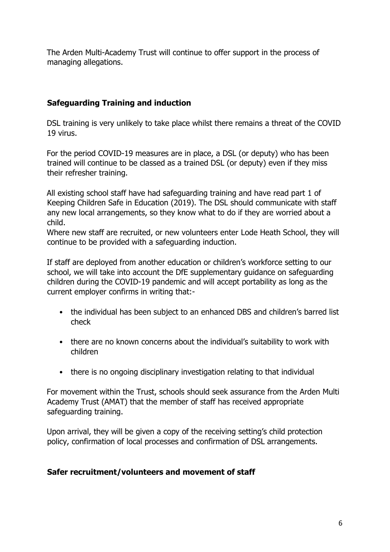The Arden Multi-Academy Trust will continue to offer support in the process of managing allegations.

# <span id="page-5-0"></span>**Safeguarding Training and induction**

DSL training is very unlikely to take place whilst there remains a threat of the COVID 19 virus.

For the period COVID-19 measures are in place, a DSL (or deputy) who has been trained will continue to be classed as a trained DSL (or deputy) even if they miss their refresher training.

All existing school staff have had safeguarding training and have read part 1 of Keeping Children Safe in Education (2019). The DSL should communicate with staff any new local arrangements, so they know what to do if they are worried about a child.

Where new staff are recruited, or new volunteers enter Lode Heath School, they will continue to be provided with a safeguarding induction.

If staff are deployed from another education or children's workforce setting to our school, we will take into account the DfE supplementary guidance on safeguarding children during the COVID-19 pandemic and will accept portability as long as the current employer confirms in writing that:-

- the individual has been subject to an enhanced DBS and children's barred list check
- there are no known concerns about the individual's suitability to work with children
- there is no ongoing disciplinary investigation relating to that individual

For movement within the Trust, schools should seek assurance from the Arden Multi Academy Trust (AMAT) that the member of staff has received appropriate safeguarding training.

Upon arrival, they will be given a copy of the receiving setting's child protection policy, confirmation of local processes and confirmation of DSL arrangements.

# <span id="page-5-1"></span>**Safer recruitment/volunteers and movement of staff**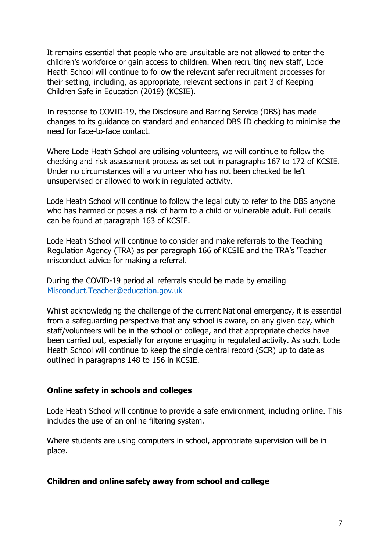It remains essential that people who are unsuitable are not allowed to enter the children's workforce or gain access to children. When recruiting new staff, Lode Heath School will continue to follow the relevant safer recruitment processes for their setting, including, as appropriate, relevant sections in part 3 of Keeping Children Safe in Education (2019) (KCSIE).

In response to COVID-19, the Disclosure and Barring Service (DBS) has made changes to its guidance on standard and enhanced DBS ID checking to minimise the need for face-to-face contact.

Where Lode Heath School are utilising volunteers, we will continue to follow the checking and risk assessment process as set out in paragraphs 167 to 172 of KCSIE. Under no circumstances will a volunteer who has not been checked be left unsupervised or allowed to work in regulated activity.

Lode Heath School will continue to follow the legal duty to refer to the DBS anyone who has harmed or poses a risk of harm to a child or vulnerable adult. Full details can be found at paragraph 163 of KCSIE.

Lode Heath School will continue to consider and make referrals to the Teaching Regulation Agency (TRA) as per paragraph 166 of KCSIE and the TRA's 'Teacher misconduct advice for making a referral.

During the COVID-19 period all referrals should be made by emailing Misconduct.Teacher@education.gov.uk

Whilst acknowledging the challenge of the current National emergency, it is essential from a safeguarding perspective that any school is aware, on any given day, which staff/volunteers will be in the school or college, and that appropriate checks have been carried out, especially for anyone engaging in regulated activity. As such, Lode Heath School will continue to keep the single central record (SCR) up to date as outlined in paragraphs 148 to 156 in KCSIE.

#### <span id="page-6-0"></span>**Online safety in schools and colleges**

Lode Heath School will continue to provide a safe environment, including online. This includes the use of an online filtering system.

Where students are using computers in school, appropriate supervision will be in place.

#### <span id="page-6-1"></span>**Children and online safety away from school and college**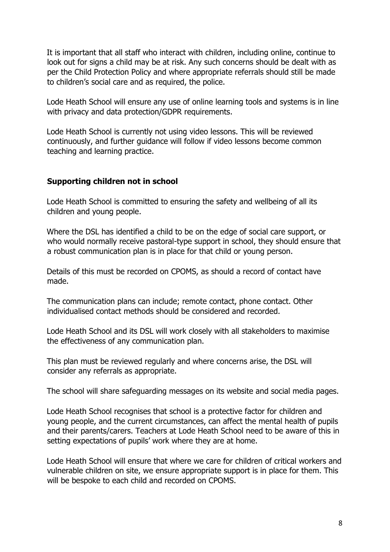It is important that all staff who interact with children, including online, continue to look out for signs a child may be at risk. Any such concerns should be dealt with as per the Child Protection Policy and where appropriate referrals should still be made to children's social care and as required, the police.

Lode Heath School will ensure any use of online learning tools and systems is in line with privacy and data protection/GDPR requirements.

Lode Heath School is currently not using video lessons. This will be reviewed continuously, and further guidance will follow if video lessons become common teaching and learning practice.

# <span id="page-7-0"></span>**Supporting children not in school**

Lode Heath School is committed to ensuring the safety and wellbeing of all its children and young people.

Where the DSL has identified a child to be on the edge of social care support, or who would normally receive pastoral-type support in school, they should ensure that a robust communication plan is in place for that child or young person.

Details of this must be recorded on CPOMS, as should a record of contact have made.

The communication plans can include; remote contact, phone contact. Other individualised contact methods should be considered and recorded.

Lode Heath School and its DSL will work closely with all stakeholders to maximise the effectiveness of any communication plan.

This plan must be reviewed regularly and where concerns arise, the DSL will consider any referrals as appropriate.

The school will share safeguarding messages on its website and social media pages.

Lode Heath School recognises that school is a protective factor for children and young people, and the current circumstances, can affect the mental health of pupils and their parents/carers. Teachers at Lode Heath School need to be aware of this in setting expectations of pupils' work where they are at home.

Lode Heath School will ensure that where we care for children of critical workers and vulnerable children on site, we ensure appropriate support is in place for them. This will be bespoke to each child and recorded on CPOMS.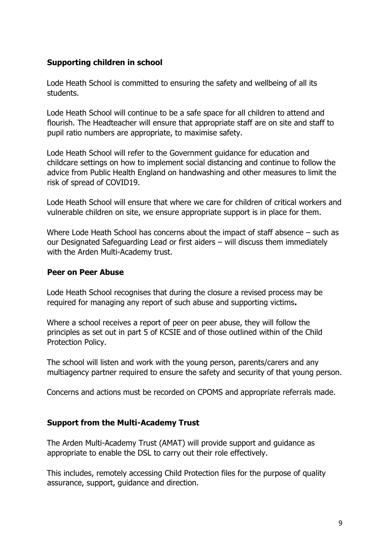## <span id="page-8-0"></span>**Supporting children in school**

Lode Heath School is committed to ensuring the safety and wellbeing of all its students.

Lode Heath School will continue to be a safe space for all children to attend and flourish. The Headteacher will ensure that appropriate staff are on site and staff to pupil ratio numbers are appropriate, to maximise safety.

Lode Heath School will refer to the Government guidance for education and childcare settings on how to implement social distancing and continue to follow the advice from Public Health England on handwashing and other measures to limit the risk of spread of COVID19.

Lode Heath School will ensure that where we care for children of critical workers and vulnerable children on site, we ensure appropriate support is in place for them.

Where Lode Heath School has concerns about the impact of staff absence – such as our Designated Safeguarding Lead or first aiders – will discuss them immediately with the Arden Multi-Academy trust.

#### <span id="page-8-1"></span>**Peer on Peer Abuse**

Lode Heath School recognises that during the closure a revised process may be required for managing any report of such abuse and supporting victims**.** 

Where a school receives a report of peer on peer abuse, they will follow the principles as set out in part 5 of KCSIE and of those outlined within of the Child Protection Policy.

The school will listen and work with the young person, parents/carers and any multiagency partner required to ensure the safety and security of that young person.

Concerns and actions must be recorded on CPOMS and appropriate referrals made.

#### <span id="page-8-2"></span>**Support from the Multi-Academy Trust**

The Arden Multi-Academy Trust (AMAT) will provide support and guidance as appropriate to enable the DSL to carry out their role effectively.

This includes, remotely accessing Child Protection files for the purpose of quality assurance, support, guidance and direction.